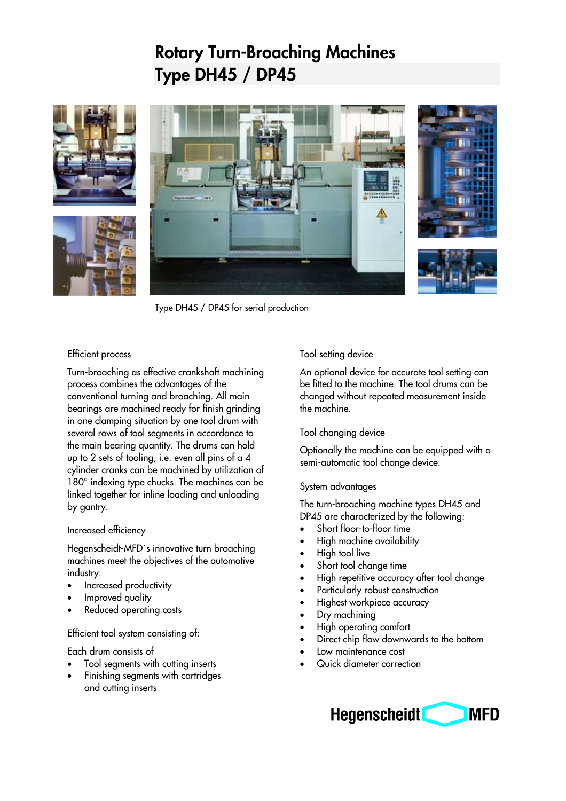# **Rotary Turn-Broaching Machines Type DH45 / DP45**







Type DH45 / DP45 for serial production

# Efficient process

Turn-broaching as effective crankshaft machining process combines the advantages of the conventional turning and broaching. All main bearings are machined ready for finish grinding in one clamping situation by one tool drum with several rows of tool segments in accordance to the main bearing quantity. The drums can hold up to 2 sets of tooling, i.e. even all pins of a 4 cylinder cranks can be machined by utilization of 180° indexing type chucks. The machines can be linked together for inline loading and unloading by gantry.

### Increased efficiency

Hegenscheidt-MFD´s innovative turn broaching machines meet the objectives of the automotive industry:

- Increased productivity
- Improved quality
- Reduced operating costs

### Efficient tool system consisting of:

Each drum consists of

- Tool segments with cutting inserts
- Finishing segments with cartridges and cutting inserts

# Tool setting device

An optional device for accurate tool setting can be fitted to the machine. The tool drums can be changed without repeated measurement inside the machine.

### Tool changing device

Optionally the machine can be equipped with a semi-automatic tool change device.

### System advantages

The turn-broaching machine types DH45 and DP45 are characterized by the following:

- Short floor-to-floor time
- High machine availability
- High tool live
- Short tool change time
- High repetitive accuracy after tool change
- Particularly robust construction
- Highest workpiece accuracy
- Dry machining
- High operating comfort
- Direct chip flow downwards to the bottom
- Low maintenance cost
- Quick diameter correction